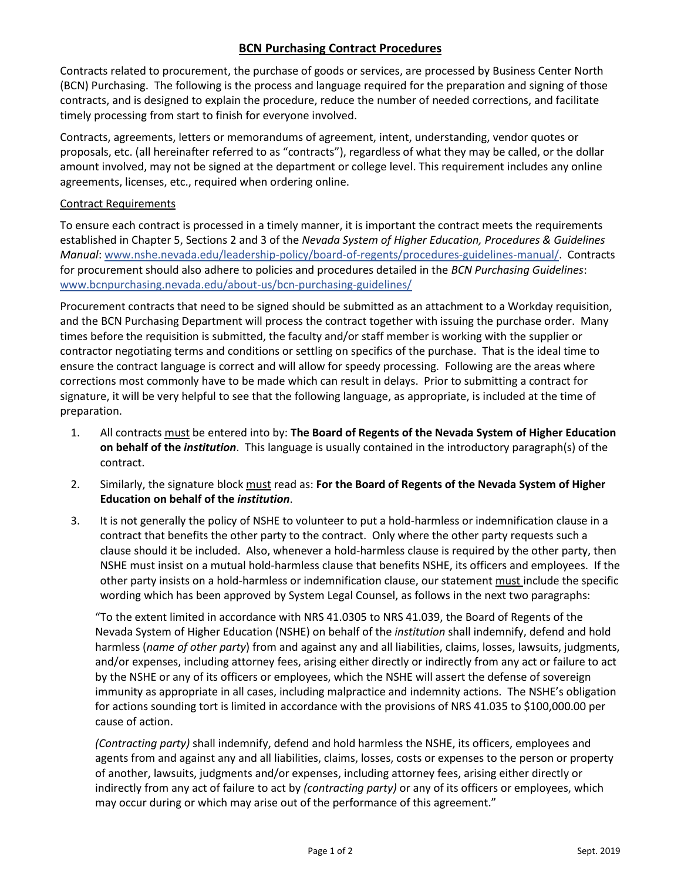## **BCN Purchasing Contract Procedures**

Contracts related to procurement, the purchase of goods or services, are processed by Business Center North (BCN) Purchasing. The following is the process and language required for the preparation and signing of those contracts, and is designed to explain the procedure, reduce the number of needed corrections, and facilitate timely processing from start to finish for everyone involved.

Contracts, agreements, letters or memorandums of agreement, intent, understanding, vendor quotes or proposals, etc. (all hereinafter referred to as "contracts"), regardless of what they may be called, or the dollar amount involved, may not be signed at the department or college level. This requirement includes any online agreements, licenses, etc., required when ordering online.

## Contract Requirements

To ensure each contract is processed in a timely manner, it is important the contract meets the requirements established in Chapter 5, Sections 2 and 3 of the *Nevada System of Higher Education, Procedures & Guidelines Manual*: [www.nshe.nevada.edu/leadership-policy/board-of-regents/procedures-guidelines-manual/.](http://www.nshe.nevada.edu/leadership-policy/board-of-regents/procedures-guidelines-manual/) Contracts for procurement should also adhere to policies and procedures detailed in the *BCN Purchasing Guidelines*: [www.bcnpurchasing.nevada.edu/about-us/bcn-purchasing-guidelines/](http://www.bcnpurchasing.nevada.edu/about-us/bcn-purchasing-guidelines/)

Procurement contracts that need to be signed should be submitted as an attachment to a Workday requisition, and the BCN Purchasing Department will process the contract together with issuing the purchase order. Many times before the requisition is submitted, the faculty and/or staff member is working with the supplier or contractor negotiating terms and conditions or settling on specifics of the purchase. That is the ideal time to ensure the contract language is correct and will allow for speedy processing. Following are the areas where corrections most commonly have to be made which can result in delays. Prior to submitting a contract for signature, it will be very helpful to see that the following language, as appropriate, is included at the time of preparation.

- 1. All contracts must be entered into by: **The Board of Regents of the Nevada System of Higher Education on behalf of the** *institution*. This language is usually contained in the introductory paragraph(s) of the contract.
- 2. Similarly, the signature block must read as: **For the Board of Regents of the Nevada System of Higher Education on behalf of the** *institution*.
- 3. It is not generally the policy of NSHE to volunteer to put a hold-harmless or indemnification clause in a contract that benefits the other party to the contract. Only where the other party requests such a clause should it be included. Also, whenever a hold-harmless clause is required by the other party, then NSHE must insist on a mutual hold-harmless clause that benefits NSHE, its officers and employees. If the other party insists on a hold-harmless or indemnification clause, our statement must include the specific wording which has been approved by System Legal Counsel, as follows in the next two paragraphs:

"To the extent limited in accordance with NRS 41.0305 to NRS 41.039, the Board of Regents of the Nevada System of Higher Education (NSHE) on behalf of the *institution* shall indemnify, defend and hold harmless (*name of other party*) from and against any and all liabilities, claims, losses, lawsuits, judgments, and/or expenses, including attorney fees, arising either directly or indirectly from any act or failure to act by the NSHE or any of its officers or employees, which the NSHE will assert the defense of sovereign immunity as appropriate in all cases, including malpractice and indemnity actions. The NSHE's obligation for actions sounding tort is limited in accordance with the provisions of NRS 41.035 to \$100,000.00 per cause of action.

*(Contracting party)* shall indemnify, defend and hold harmless the NSHE, its officers, employees and agents from and against any and all liabilities, claims, losses, costs or expenses to the person or property of another, lawsuits, judgments and/or expenses, including attorney fees, arising either directly or indirectly from any act of failure to act by *(contracting party)* or any of its officers or employees, which may occur during or which may arise out of the performance of this agreement."